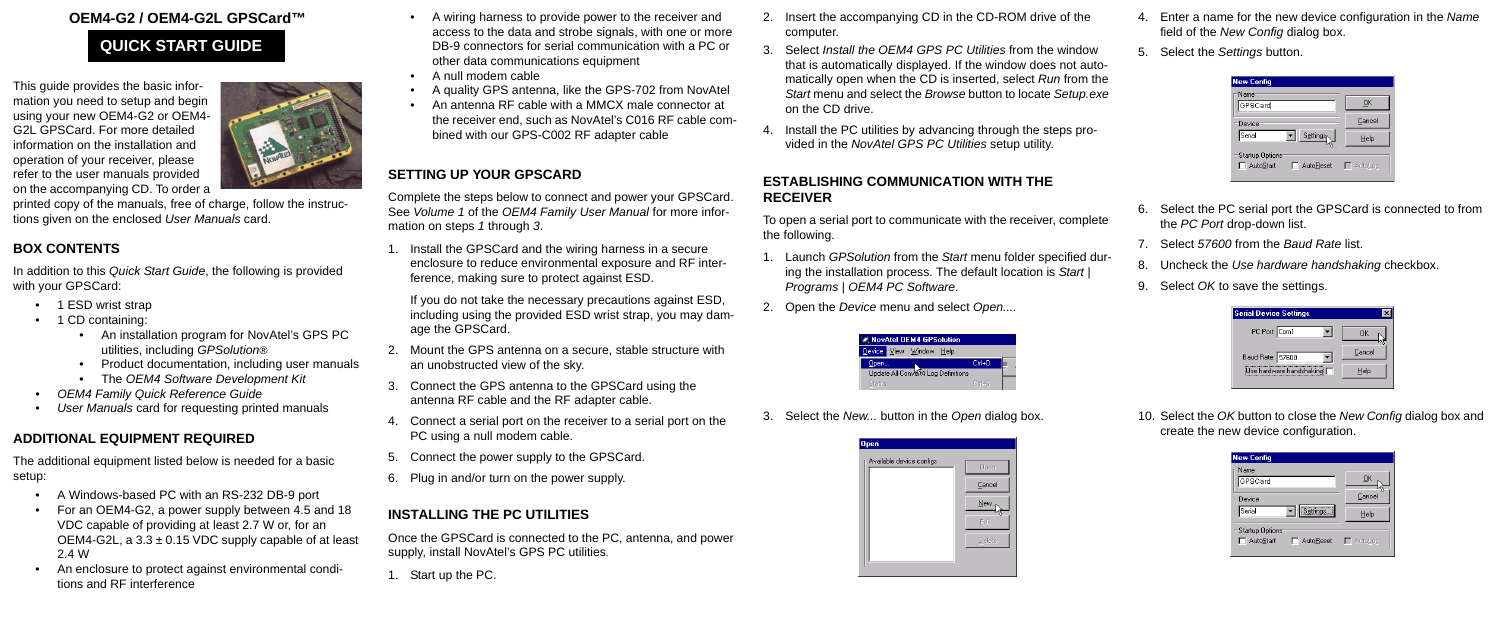### **OEM4-G2 / OEM4-G2L GPSCard™**

This guide provides the basic information you need to setup and begin using your new OEM4-G2 or OEM4- G2L GPSCard. For more detailed information on the installation and operation of your receiver, please refer to the user manuals provided on the accompanying CD. To order a



printed copy of the manuals, free of charge, follow the instructions given on the enclosed *User Manuals* card.

- 1 ESD wrist strap
- 1 CD containing:
	- An installation program for NovAtel's GPS PC utilities, including *GPSolution®*
	- Product documentation, including user manuals
	- The *OEM4 Software Development Kit*
- *OEM4 Family Quick Reference Guide*
- *User Manuals* card for requesting printed manuals

### **BOX CONTENTS**

In addition to this *Quick Start Guide*, the following is provided with your GPSCard:

## **ADDITIONAL EQUIPMENT REQUIRED**

The additional equipment listed below is needed for a basic setup:

- A Windows-based PC with an RS-232 DB-9 port
- For an OEM4-G2, a power supply between 4.5 and 18 VDC capable of providing at least 2.7 W or, for an OEM4-G2L, a  $3.3 \pm 0.15$  VDC supply capable of at least 2.4 W
- An enclosure to protect against environmental conditions and RF interference
- A wiring harness to provide power to the receiver and access to the data and strobe signals, with one or more DB-9 connectors for serial communication with a PC or other data communications equipment
- A null modem cable
- A quality GPS antenna, like the GPS-702 from NovAtel
- An antenna RF cable with a MMCX male connector at the receiver end, such as NovAtel's C016 RF cable combined with our GPS-C002 RF adapter cable

## **SETTING UP YOUR GPSCARD**

Complete the steps below to connect and power your GPSCard. See *Volume 1* of the *OEM4 Family User Manual* for more information on steps *1* through *3*.

1. Install the GPSCard and the wiring harness in a secure enclosure to reduce environmental exposure and RF interference, making sure to protect against ESD.

If you do not take the necessary precautions against ESD, including using the provided ESD wrist strap, you may damage the GPSCard.

- 2. Mount the GPS antenna on a secure, stable structure with an unobstructed view of the sky.
- 3. Connect the GPS antenna to the GPSCard using the antenna RF cable and the RF adapter cable.
- 4. Connect a serial port on the receiver to a serial port on the PC using a null modem cable.
- 5. Connect the power supply to the GPSCard.
- 6. Plug in and/or turn on the power supply.

# **INSTALLING THE PC UTILITIES**

Once the GPSCard is connected to the PC, antenna, and power supply, install NovAtel's GPS PC utilities*.*

1. Start up the PC.

- 2. Insert the accompanying CD in the CD-ROM drive of the computer.
- 3. Select *Install the OEM4 GPS PC Utilities* from the window that is automatically displayed. If the window does not automatically open when the CD is inserted, select *Run* from the *Start* menu and select the *Browse* button to locate *Setup.exe* on the CD drive.
- 4. Install the PC utilities by advancing through the steps provided in the *NovAtel GPS PC Utilities* setup utility.

#### **ESTABLISHING COMMUNICATION WITH THE RECEIVER**

To open a serial port to communicate with the receiver, complete the following.

- 1. Launch *GPSolution* from the *Start* menu folder specified during the installation process. The default location is *Start* | *Programs* | *OEM4 PC Software*.
- 2. Open the *Device* menu and select *Open....*



3. Select the *New...* button in the *Open* dialog box.



- 4. Enter a name for the new device configuration in the *Name* field of the *New Config* dialog box.
- 5. Select the *Settings* button.

| <b>New Config</b>                                   |        |
|-----------------------------------------------------|--------|
| Name<br>GPSCard                                     | QK     |
| Device                                              | Cancel |
| Serial<br>Settings                                  | Help   |
| Startup Options<br>AutoStart<br>AutoReset   AutoLog |        |

- 6. Select the PC serial port the GPSCard is connected to from the *PC Port* drop-down list.
- 7. Select *57600* from the *Baud Rate* list.
- 8. Uncheck the *Use hardware handshaking* checkbox.
- 9. Select *OK* to save the settings.

| <b>Serial Device Settings</b> |        |
|-------------------------------|--------|
| PC Port: Com1                 | пκ     |
| Baud Rate: 57600              | Cancel |
| Use hardware handshaking M    | Help   |
|                               |        |

10. Select the *OK* button to close the *New Config* dialog box and create the new device configuration.

| <b>New Config</b>                                          |        |
|------------------------------------------------------------|--------|
| Name<br>GPSCard                                            | ŪΚ     |
| Device                                                     | Cancel |
| Settings<br>Serial                                         | Help   |
| <b>Startup Options</b><br>AutoStart<br>AutoReset   AutoLog |        |

# **QUICK START GUIDE**